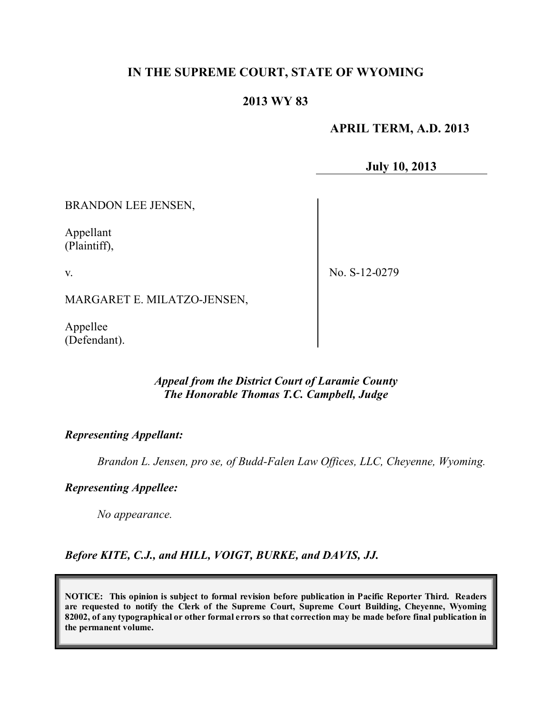# **IN THE SUPREME COURT, STATE OF WYOMING**

# **2013 WY 83**

### **APRIL TERM, A.D. 2013**

**July 10, 2013**

BRANDON LEE JENSEN,

Appellant (Plaintiff),

v.

No. S-12-0279

MARGARET E. MILATZO-JENSEN,

Appellee (Defendant).

### *Appeal from the District Court of Laramie County The Honorable Thomas T.C. Campbell, Judge*

### *Representing Appellant:*

*Brandon L. Jensen, pro se, of Budd-Falen Law Offices, LLC, Cheyenne, Wyoming.*

#### *Representing Appellee:*

*No appearance.*

*Before KITE, C.J., and HILL, VOIGT, BURKE, and DAVIS, JJ.*

**NOTICE: This opinion is subject to formal revision before publication in Pacific Reporter Third. Readers are requested to notify the Clerk of the Supreme Court, Supreme Court Building, Cheyenne, Wyoming** 82002, of any typographical or other formal errors so that correction may be made before final publication in **the permanent volume.**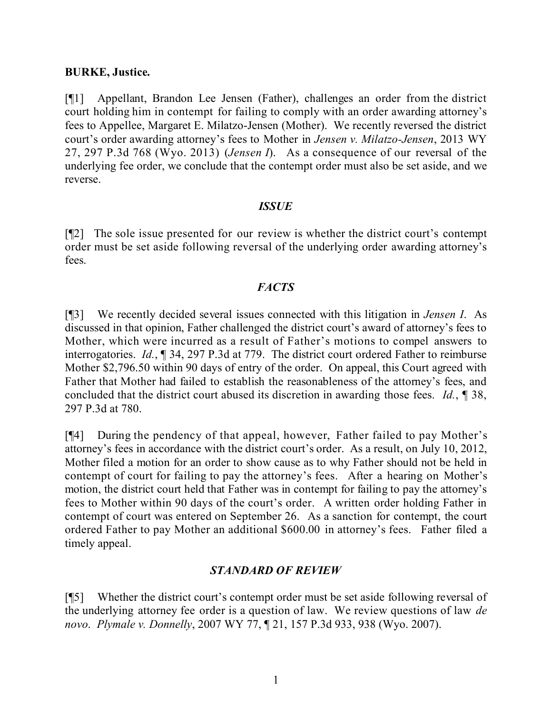### **BURKE, Justice.**

[¶1] Appellant, Brandon Lee Jensen (Father), challenges an order from the district court holding him in contempt for failing to comply with an order awarding attorney's fees to Appellee, Margaret E. Milatzo-Jensen (Mother). We recently reversed the district court's order awarding attorney's fees to Mother in *Jensen v. Milatzo-Jensen*, 2013 WY 27, 297 P.3d 768 (Wyo. 2013) (*Jensen I*). As a consequence of our reversal of the underlying fee order, we conclude that the contempt order must also be set aside, and we reverse.

### *ISSUE*

[¶2] The sole issue presented for our review is whether the district court's contempt order must be set aside following reversal of the underlying order awarding attorney's fees.

# *FACTS*

[¶3] We recently decided several issues connected with this litigation in *Jensen I*. As discussed in that opinion, Father challenged the district court's award of attorney's fees to Mother, which were incurred as a result of Father's motions to compel answers to interrogatories. *Id.*, ¶ 34, 297 P.3d at 779. The district court ordered Father to reimburse Mother \$2,796.50 within 90 days of entry of the order. On appeal, this Court agreed with Father that Mother had failed to establish the reasonableness of the attorney's fees, and concluded that the district court abused its discretion in awarding those fees. *Id.*, ¶ 38, 297 P.3d at 780.

[¶4] During the pendency of that appeal, however, Father failed to pay Mother's attorney's fees in accordance with the district court's order. As a result, on July 10, 2012, Mother filed a motion for an order to show cause as to why Father should not be held in contempt of court for failing to pay the attorney's fees. After a hearing on Mother's motion, the district court held that Father was in contempt for failing to pay the attorney's fees to Mother within 90 days of the court's order. A written order holding Father in contempt of court was entered on September 26. As a sanction for contempt, the court ordered Father to pay Mother an additional \$600.00 in attorney's fees. Father filed a timely appeal.

# *STANDARD OF REVIEW*

[¶5] Whether the district court's contempt order must be set aside following reversal of the underlying attorney fee order is a question of law. We review questions of law *de novo*. *Plymale v. Donnelly*, 2007 WY 77, ¶ 21, 157 P.3d 933, 938 (Wyo. 2007).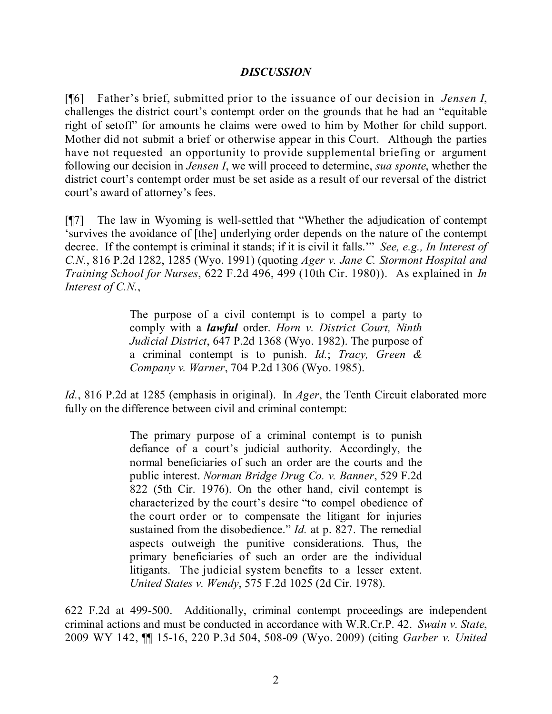### *DISCUSSION*

[¶6] Father's brief, submitted prior to the issuance of our decision in *Jensen I*, challenges the district court's contempt order on the grounds that he had an "equitable right of setoff" for amounts he claims were owed to him by Mother for child support. Mother did not submit a brief or otherwise appear in this Court. Although the parties have not requested an opportunity to provide supplemental briefing or argument following our decision in *Jensen I*, we will proceed to determine, *sua sponte*, whether the district court's contempt order must be set aside as a result of our reversal of the district court's award of attorney's fees.

[¶7] The law in Wyoming is well-settled that "Whether the adjudication of contempt 'survives the avoidance of [the] underlying order depends on the nature of the contempt decree. If the contempt is criminal it stands; if it is civil it falls.'" *See, e.g., In Interest of C.N.*, 816 P.2d 1282, 1285 (Wyo. 1991) (quoting *Ager v. Jane C. Stormont Hospital and Training School for Nurses*, 622 F.2d 496, 499 (10th Cir. 1980)). As explained in *In Interest of C.N.*,

> The purpose of a civil contempt is to compel a party to comply with a *lawful* order. *Horn v. District Court, Ninth Judicial District*, 647 P.2d 1368 (Wyo. 1982). The purpose of a criminal contempt is to punish. *Id.*; *Tracy, Green & Company v. Warner*, 704 P.2d 1306 (Wyo. 1985).

*Id.*, 816 P.2d at 1285 (emphasis in original). In *Ager*, the Tenth Circuit elaborated more fully on the difference between civil and criminal contempt:

> The primary purpose of a criminal contempt is to punish defiance of a court's judicial authority. Accordingly, the normal beneficiaries of such an order are the courts and the public interest. *Norman Bridge Drug Co. v. Banner*, 529 F.2d 822 (5th Cir. 1976). On the other hand, civil contempt is characterized by the court's desire "to compel obedience of the court order or to compensate the litigant for injuries sustained from the disobedience." *Id.* at p. 827. The remedial aspects outweigh the punitive considerations. Thus, the primary beneficiaries of such an order are the individual litigants. The judicial system benefits to a lesser extent. *United States v. Wendy*, 575 F.2d 1025 (2d Cir. 1978).

622 F.2d at 499-500. Additionally, criminal contempt proceedings are independent criminal actions and must be conducted in accordance with W.R.Cr.P. 42. *Swain v. State*, 2009 WY 142, ¶¶ 15-16, 220 P.3d 504, 508-09 (Wyo. 2009) (citing *Garber v. United*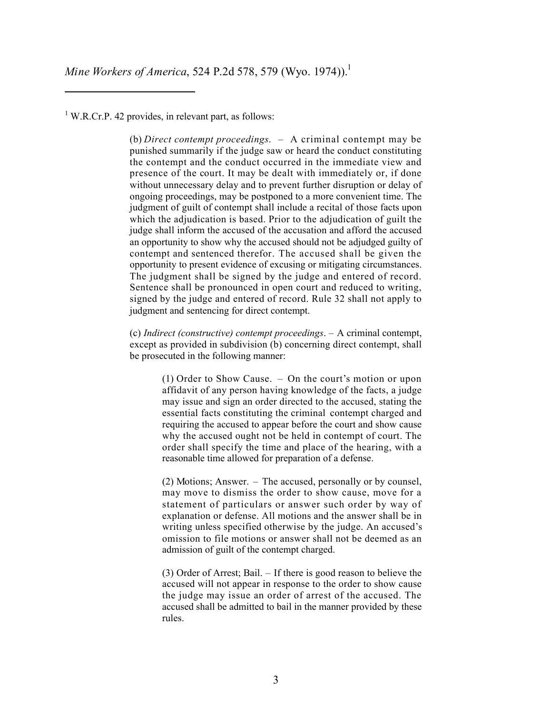*Mine Workers of America*, 524 P.2d 578, 579 (Wyo. 1974)). 1

 $1$  W.R.Cr.P. 42 provides, in relevant part, as follows:

(b) *Direct contempt proceedings*. – A criminal contempt may be punished summarily if the judge saw or heard the conduct constituting the contempt and the conduct occurred in the immediate view and presence of the court. It may be dealt with immediately or, if done without unnecessary delay and to prevent further disruption or delay of ongoing proceedings, may be postponed to a more convenient time. The judgment of guilt of contempt shall include a recital of those facts upon which the adjudication is based. Prior to the adjudication of guilt the judge shall inform the accused of the accusation and afford the accused an opportunity to show why the accused should not be adjudged guilty of contempt and sentenced therefor. The accused shall be given the opportunity to present evidence of excusing or mitigating circumstances. The judgment shall be signed by the judge and entered of record. Sentence shall be pronounced in open court and reduced to writing, signed by the judge and entered of record. Rule 32 shall not apply to judgment and sentencing for direct contempt.

(c) *Indirect (constructive) contempt proceedings*. – A criminal contempt, except as provided in subdivision (b) concerning direct contempt, shall be prosecuted in the following manner:

> (1) Order to Show Cause. – On the court's motion or upon affidavit of any person having knowledge of the facts, a judge may issue and sign an order directed to the accused, stating the essential facts constituting the criminal contempt charged and requiring the accused to appear before the court and show cause why the accused ought not be held in contempt of court. The order shall specify the time and place of the hearing, with a reasonable time allowed for preparation of a defense.

> (2) Motions; Answer. – The accused, personally or by counsel, may move to dismiss the order to show cause, move for a statement of particulars or answer such order by way of explanation or defense. All motions and the answer shall be in writing unless specified otherwise by the judge. An accused's omission to file motions or answer shall not be deemed as an admission of guilt of the contempt charged.

> (3) Order of Arrest; Bail. – If there is good reason to believe the accused will not appear in response to the order to show cause the judge may issue an order of arrest of the accused. The accused shall be admitted to bail in the manner provided by these rules.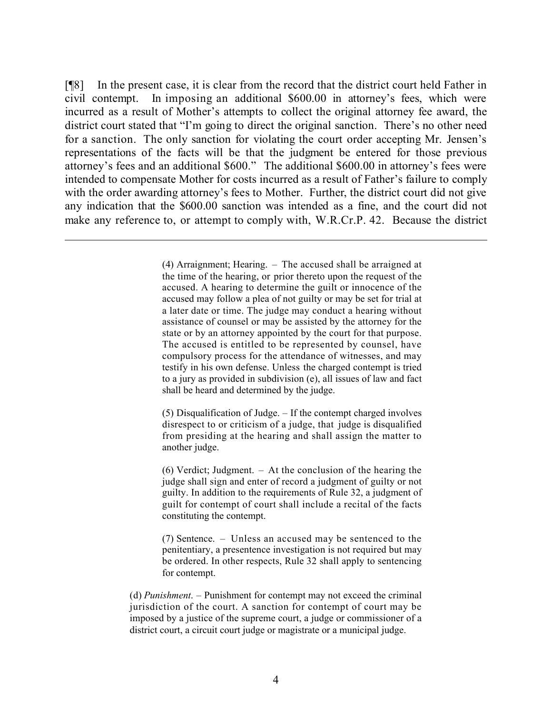[¶8] In the present case, it is clear from the record that the district court held Father in civil contempt. In imposing an additional \$600.00 in attorney's fees, which were incurred as a result of Mother's attempts to collect the original attorney fee award, the district court stated that "I'm going to direct the original sanction. There's no other need for a sanction. The only sanction for violating the court order accepting Mr. Jensen's representations of the facts will be that the judgment be entered for those previous attorney's fees and an additional \$600." The additional \$600.00 in attorney's fees were intended to compensate Mother for costs incurred as a result of Father's failure to comply with the order awarding attorney's fees to Mother. Further, the district court did not give any indication that the \$600.00 sanction was intended as a fine, and the court did not make any reference to, or attempt to comply with, W.R.Cr.P. 42. Because the district

> (4) Arraignment; Hearing. – The accused shall be arraigned at the time of the hearing, or prior thereto upon the request of the accused. A hearing to determine the guilt or innocence of the accused may follow a plea of not guilty or may be set for trial at a later date or time. The judge may conduct a hearing without assistance of counsel or may be assisted by the attorney for the state or by an attorney appointed by the court for that purpose. The accused is entitled to be represented by counsel, have compulsory process for the attendance of witnesses, and may testify in his own defense. Unless the charged contempt is tried to a jury as provided in subdivision (e), all issues of law and fact shall be heard and determined by the judge.

l

(5) Disqualification of Judge. – If the contempt charged involves disrespect to or criticism of a judge, that judge is disqualified from presiding at the hearing and shall assign the matter to another judge.

(6) Verdict; Judgment. – At the conclusion of the hearing the judge shall sign and enter of record a judgment of guilty or not guilty. In addition to the requirements of Rule 32, a judgment of guilt for contempt of court shall include a recital of the facts constituting the contempt.

(7) Sentence. – Unless an accused may be sentenced to the penitentiary, a presentence investigation is not required but may be ordered. In other respects, Rule 32 shall apply to sentencing for contempt.

(d) *Punishment*. – Punishment for contempt may not exceed the criminal jurisdiction of the court. A sanction for contempt of court may be imposed by a justice of the supreme court, a judge or commissioner of a district court, a circuit court judge or magistrate or a municipal judge.